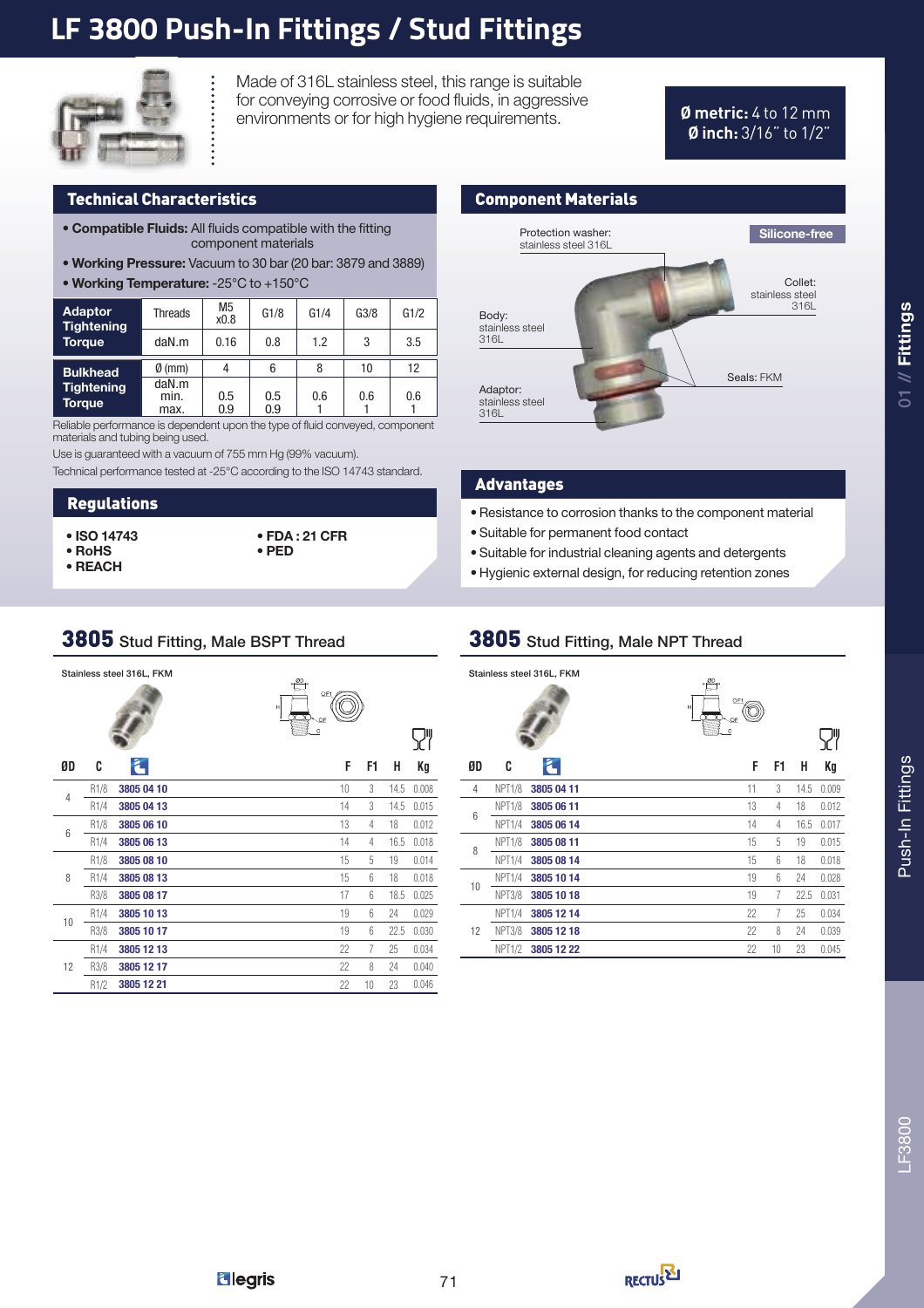## **LF 3800 Push-In Fittings / Stud Fittings**



Made of 316L stainless steel, this range is suitable for conveying corrosive or food fluids, in aggressive environments or for high hygiene requirements. **Ø metric:** 4 to 12 mm

# **Ø inch:** 3/16" to 1/2"

#### Technical Characteristics Component Materials

- Compatible Fluids: All fluids compatible with the fitting component materials
- Working Pressure: Vacuum to 30 bar (20 bar: 3879 and 3889)
- Working Temperature: -25°C to +150°C

| <b>Adaptor</b><br><b>Tightening</b> | Threads               | M <sub>5</sub><br>x0.8 | G1/8       | G1/4 | G3/8 | G1/2 |
|-------------------------------------|-----------------------|------------------------|------------|------|------|------|
| <b>Torque</b>                       | daN.m                 | 0.16                   | 0.8        | 1.2  | 3    | 3.5  |
| <b>Bulkhead</b>                     | $\emptyset$ (mm)      | 4                      | 6          | 8    | 10   | 12   |
| <b>Tightening</b><br><b>Torque</b>  | daN.m<br>min.<br>max. | 0.5<br>0.9             | 0.5<br>0.9 | 0.6  | 0.6  | 0.6  |

Reliable performance is dependent upon the type of fluid conveyed, component materials and tubing being used.

Use is guaranteed with a vacuum of 755 mm Hg (99% vacuum).

Technical performance tested at -25°C according to the ISO 14743 standard.

#### Regulations

- ISO 14743
- RoHS • REACH
- FDA : 21 CFR • PED



#### Advantages

- Resistance to corrosion thanks to the component material
- Suitable for permanent food contact
- Suitable for industrial cleaning agents and detergents
- Hygienic external design, for reducing retention zones

#### 3805 Stud Fitting, Male BSPT Thread

|                 |      | Stainless steel 316L, FKM | $\omega$ .<br>OF1<br>H<br>OF<br>$\overline{c}$ |    |    |      |       |
|-----------------|------|---------------------------|------------------------------------------------|----|----|------|-------|
| ØD              | C    | Ł                         |                                                | F  | F1 | н    | Kg    |
| $\overline{4}$  | R1/8 | 3805 04 10                |                                                | 10 | 3  | 14.5 | 0.008 |
|                 | R1/4 | 3805 04 13                |                                                | 14 | 3  | 14.5 | 0.015 |
| $6\phantom{1}6$ | R1/8 | 3805 06 10                |                                                | 13 | 4  | 18   | 0.012 |
|                 | R1/4 | 3805 06 13                |                                                | 14 | 4  | 16.5 | 0.018 |
|                 | R1/8 | 3805 08 10                |                                                | 15 | 5  | 19   | 0.014 |
| 8               | R1/4 | 3805 08 13                |                                                | 15 | 6  | 18   | 0.018 |
|                 | R3/8 | 3805 08 17                |                                                | 17 | 6  | 18.5 | 0.025 |
| 10              | R1/4 | 3805 10 13                |                                                | 19 | 6  | 24   | 0.029 |
|                 | R3/8 | 3805 10 17                |                                                | 19 | 6  | 22.5 | 0.030 |
|                 | R1/4 | 3805 12 13                |                                                | 22 | 7  | 25   | 0.034 |
| 12              | R3/8 | 3805 12 17                |                                                | 22 | 8  | 24   | 0.040 |
|                 | R1/2 | 3805 12 21                |                                                | 22 | 10 | 23   | 0.046 |

#### 3805 Stud Fitting, Male NPT Thread

|                |                    | Stainless steel 316L, FKM | $_{\odot}$<br>OF1<br>н<br>OF |       |
|----------------|--------------------|---------------------------|------------------------------|-------|
|                |                    |                           | $\mathbf C$                  |       |
| ØD             | C                  | F.                        | F<br>F1<br>н                 | Kg    |
| $\overline{4}$ | <b>NPT1/8</b>      | 3805 04 11                | 11<br>3<br>14.5              | 0.009 |
|                | <b>NPT1/8</b>      | 3805 06 11                | 13<br>18<br>4                | 0.012 |
| 6              | NPT1/4             | 3805 06 14                | 14<br>16.5<br>4              | 0.017 |
| 8              | NPT <sub>1/8</sub> | 3805 08 11                | 15<br>5<br>19                | 0.015 |
|                | NPT1/4             | 3805 08 14                | 15<br>6<br>18                | 0.018 |
| 10             | NPT <sub>1/4</sub> | 3805 10 14                | 19<br>6<br>24                | 0.028 |
|                | <b>NPT3/8</b>      | 3805 10 18                | 19<br>7<br>22.5              | 0.031 |
|                | <b>NPT1/4</b>      | 3805 12 14                | 22<br>7<br>25                | 0.034 |
| 12             | <b>NPT3/8</b>      | 3805 12 18                | 22<br>8<br>24                | 0.039 |
|                | <b>NPT1/2</b>      | 3805 12 22                | 10<br>22<br>23               | 0.045 |

 $01$  // Fittings

**Elegris** 

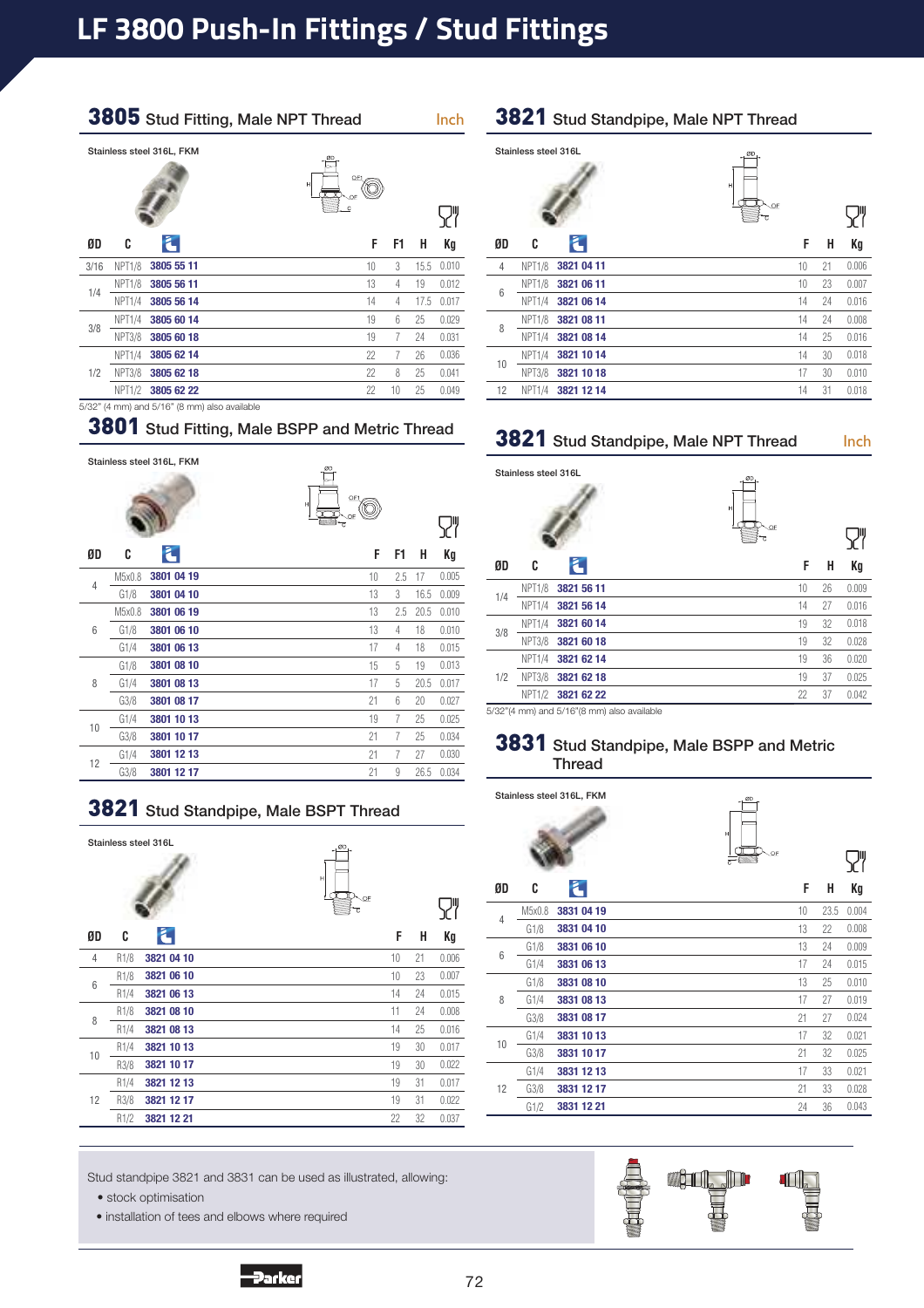## **LF 3800 Push-In Fittings / Stud Fittings**

#### 3805 Stud Fitting, Male NPT Thread Inch





 $\overline{\mathbf{S}}$ 

| ØD         | C                  |                                              | F  | F1 | н    | Kq    |
|------------|--------------------|----------------------------------------------|----|----|------|-------|
| 3/16       | <b>NPT1/8</b>      | 3805 55 11                                   | 10 | 3  | 15.5 | 0.010 |
|            | <b>NPT1/8</b>      | 3805 56 11                                   | 13 | 4  | 19   | 0.012 |
| 1/4<br>3/8 | NPT1/4             | 3805 56 14                                   | 14 | 4  | 17.5 | 0.017 |
|            | <b>NPT1/4</b>      | 3805 60 14                                   | 19 | 6  | 25   | 0.029 |
|            | <b>NPT3/8</b>      | 3805 60 18                                   | 19 | 7  | 24   | 0.031 |
|            | NPT <sub>1/4</sub> | 3805 62 14                                   | 22 | 7  | 26   | 0.036 |
| 1/2        | <b>NPT3/8</b>      | 3805 62 18                                   | 22 | 8  | 25   | 0.041 |
|            | <b>NPT1/2</b>      | 3805 62 22                                   | 22 | 10 | 25   | 0.049 |
|            |                    | 5/32" (4 mm) and 5/16" (8 mm) also available |    |    |      |       |

## 3801 Stud Fitting, Male BSPP and Metric Thread

|    |        | Stainless steel 316L, FKM | $\frac{80}{2}$<br>OF1<br>Н<br>OB<br>$\overline{c}$ |      |       |
|----|--------|---------------------------|----------------------------------------------------|------|-------|
| ØD | C      |                           | F<br>F1                                            | н    | Kg    |
| 4  | M5x0.8 | 3801 04 19                | 10<br>2.5                                          | 17   | 0.005 |
|    | G1/8   | 3801 04 10                | 3<br>13                                            | 16.5 | 0.009 |
|    | M5x0.8 | 3801 06 19                | 13<br>2.5                                          | 20.5 | 0.010 |
| 6  | G1/8   | 3801 06 10                | 13<br>4                                            | 18   | 0.010 |
|    | G1/4   | 3801 06 13                | 17<br>4                                            | 18   | 0.015 |
|    | G1/8   | 3801 08 10                | 15<br>5                                            | 19   | 0.013 |
| 8  | G1/4   | 3801 08 13                | 17<br>5                                            | 20.5 | 0.017 |
|    | G3/8   | 3801 08 17                | 21<br>6                                            | 20   | 0.027 |
|    | G1/4   | 3801 10 13                | 19<br>$\overline{7}$                               | 25   | 0.025 |
| 10 | G3/8   | 3801 10 17                | 21<br>7                                            | 25   | 0.034 |
| 12 | G1/4   | 3801 12 13                | 21<br>7                                            | 27   | 0.030 |
|    | G3/8   | 3801 12 17                | 21<br>9                                            | 26.5 | 0.034 |

|    |                  | Stainless steel 316L | ØD,<br>H<br>OF<br>C |    |    |       |
|----|------------------|----------------------|---------------------|----|----|-------|
| ØD | C                | z                    |                     | F  | н  | Kg    |
| 4  | R <sub>1/8</sub> | 3821 04 10           |                     | 10 | 21 | 0.006 |
| 6  | R <sub>1/8</sub> | 3821 06 10           |                     | 10 | 23 | 0.007 |
|    | R1/4             | 3821 06 13           |                     | 14 | 24 | 0.015 |
| 8  | R <sub>1/8</sub> | 3821 08 10           |                     | 11 | 24 | 0.008 |
|    | R1/4             | 3821 08 13           |                     | 14 | 25 | 0.016 |
| 10 | R1/4             | 3821 10 13           |                     | 19 | 30 | 0.017 |
|    | R3/8             | 3821 10 17           |                     | 19 | 30 | 0.022 |
|    | R1/4             | 3821 12 13           |                     | 19 | 31 | 0.017 |
| 12 | R3/8             | 3821 12 17           |                     | 19 | 31 | 0.022 |
|    | R1/2             | 3821 12 21           |                     | 22 | 32 | 0.037 |
|    |                  |                      |                     |    |    |       |

3821 Stud Standpipe, Male BSPT Thread

#### Stud standpipe 3821 and 3831 can be used as illustrated, allowing:

**Parker** 

• stock optimisation

• installation of tees and elbows where required

#### 3821 Stud Standpipe, Male NPT Thread

#### Stainless steel 316L  $\overline{\mathsf{S}}$ **ØD C**  Ł **F H Kg** 4 NPT1/8 3821 04 11 10 21 0.006 NPT1/8 **3821 06 11** 10 23 0.007 6 NPT1/4 **3821 06 14 14.0 24 0.016** NPT1/8 3821 08 11 **14.0 24 0.008** 8 NPT1/4 **3821 08 14** 14 25 0.016 NPT1/4 **3821 10 14** 14 30 0.018 10 NPT3/8 3821 10 18 17 30 0.010 12 NPT1/4 3821 12 14 14 31 0.018

## 3821 Stud Standpipe, Male NPT Thread Inch

|     | Stainless steel 316L |            | ØD<br>H<br>OF |    |       |
|-----|----------------------|------------|---------------|----|-------|
|     |                      |            | c             |    |       |
| ØD  | C                    | E          | F             | н  | Кg    |
| 1/4 | <b>NPT1/8</b>        | 3821 56 11 | 10            | 26 | 0.009 |
|     | NPT <sub>1/4</sub>   | 3821 56 14 | 14            | 27 | 0.016 |
| 3/8 | NPT <sub>1/4</sub>   | 3821 60 14 | 19            | 32 | 0.018 |
|     | <b>NPT3/8</b>        | 3821 60 18 | 19            | 32 | 0.028 |
|     | NPT1/4               | 3821 62 14 | 19            | 36 | 0.020 |
| 1/2 | <b>NPT3/8</b>        | 3821 62 18 | 19            | 37 | 0.025 |
|     | <b>NPT1/2</b>        | 3821 62 22 | 22            | 37 | 0.042 |

5/32"(4 mm) and 5/16"(8 mm) also available

#### 3831 Stud Standpipe, Male BSPP and Metric Thread

|                |        | Stainless steel 316L, FKM | ØD<br>$\mathsf{H}$<br>T<br>OF. |    |      |       |
|----------------|--------|---------------------------|--------------------------------|----|------|-------|
| ØD             | C      | Ł.                        |                                | F  | н    | Кg    |
| $\overline{4}$ | M5x0.8 | 3831 04 19                |                                | 10 | 23.5 | 0.004 |
|                | G1/8   | 3831 04 10                |                                | 13 | 22   | 0.008 |
| 6              | G1/8   | 3831 06 10                |                                | 13 | 24   | 0.009 |
|                | G1/4   | 3831 06 13                |                                | 17 | 24   | 0.015 |
|                | G1/8   | 3831 08 10                |                                | 13 | 25   | 0.010 |
| 8              | G1/4   | 3831 08 13                |                                | 17 | 27   | 0.019 |
|                | G3/8   | 3831 08 17                |                                | 21 | 27   | 0.024 |
| 10             | G1/4   | 3831 10 13                |                                | 17 | 32   | 0.021 |
|                | G3/8   | 3831 10 17                |                                | 21 | 32   | 0.025 |
|                | G1/4   | 3831 12 13                |                                | 17 | 33   | 0.021 |
| 12             | G3/8   | 3831 12 17                |                                | 21 | 33   | 0.028 |
|                | G1/2   | 3831 12 21                |                                | 24 | 36   | 0.043 |

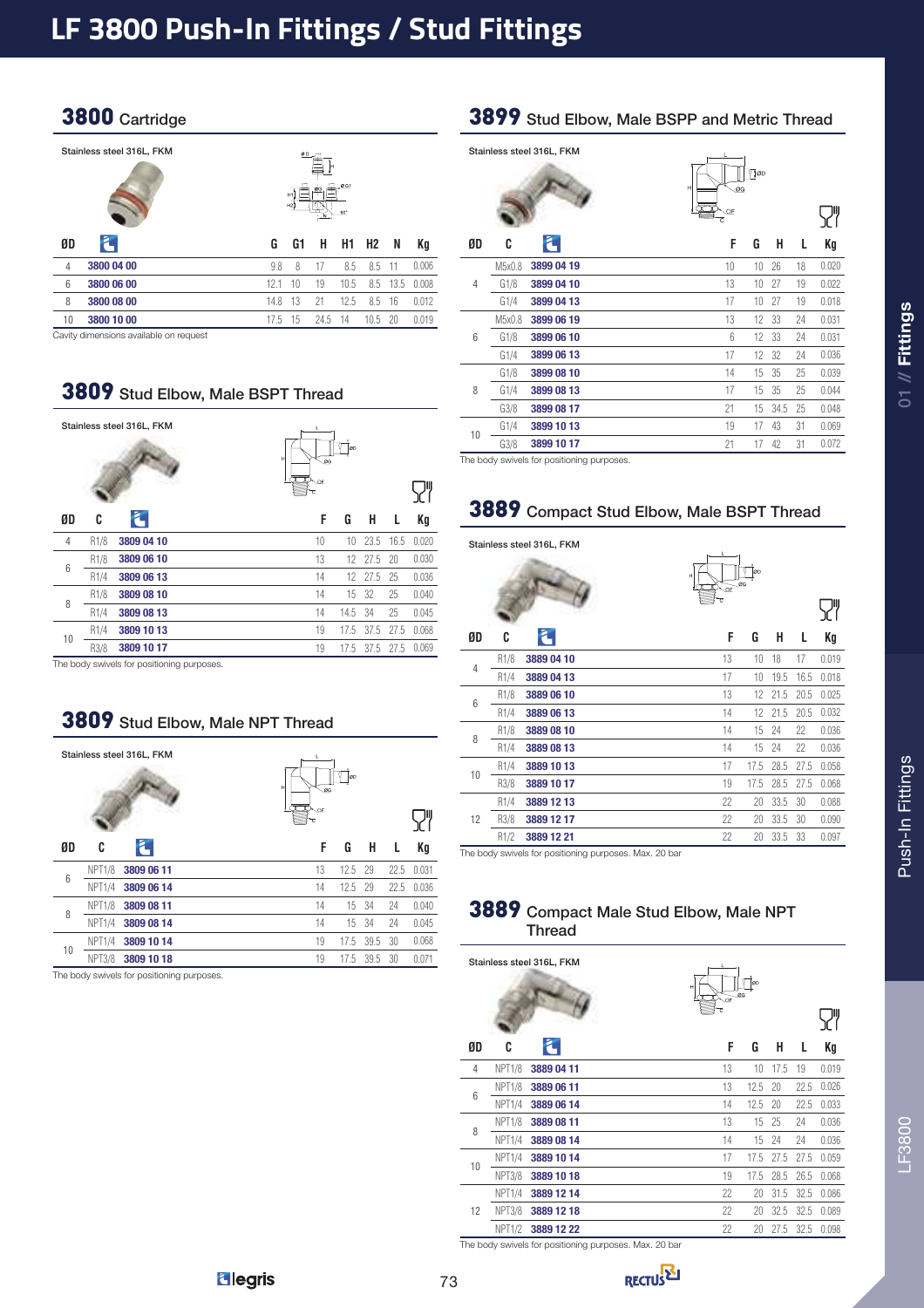## 3800 Cartridge

|                | Stainless steel 316L, FKM                                                           | ØD<br>0G1<br>ØG<br>H1<br>H2<br>60° |    |      |      |           |      |       |
|----------------|-------------------------------------------------------------------------------------|------------------------------------|----|------|------|-----------|------|-------|
| ØD             | Ł                                                                                   | G                                  | G1 | н    | H1   | <b>H2</b> | N    | Kg    |
| $\overline{4}$ | 3800 04 00                                                                          | 9.8                                | 8  | 17   | 8.5  | 8.5       | -11  | 0.006 |
| 6              | 3800 06 00                                                                          | 12.1                               | 10 | 19   | 10.5 | 8.5       | 13.5 | 0.008 |
| 8              | 3800 08 00                                                                          | 14.8                               | 13 | 21   | 12.5 | 8.5       | 16   | 0.012 |
| 10             | 3800 10 00                                                                          | 17.5                               | 15 | 24.5 | -14  | 10.5      | -20  | 0.019 |
|                | Considered alternative and considerable and considered alternative and considerable |                                    |    |      |      |           |      |       |

Cavity dimensions available on request

#### 3809 Stud Elbow, Male BSPT Thread

3809 Stud Elbow, Male NPT Thread

|                |                  | Stainless steel 316L, FKM | н<br>π | L<br>ØG<br>$\overline{\mathbb{D}}_{\text{def}}$<br>ट | ØD   |      |      |       |
|----------------|------------------|---------------------------|--------|------------------------------------------------------|------|------|------|-------|
| ØD             | C                | L                         |        | F                                                    | G    | н    | L    | Кg    |
| $\overline{4}$ | R <sub>1/8</sub> | 3809 04 10                |        | 10                                                   | 10   | 23.5 | 16.5 | 0.020 |
| 6              | R <sub>1/8</sub> | 3809 06 10                |        | 13                                                   | 12   | 27.5 | 20   | 0.030 |
|                | R1/4             | 3809 06 13                |        | 14                                                   | 12   | 27.5 | 25   | 0.036 |
| 8              | R <sub>1/8</sub> | 3809 08 10                |        | 14                                                   | 15   | 32   | 25   | 0.040 |
|                | R1/4             | 3809 08 13                |        | 14                                                   | 14.5 | 34   | 25   | 0.045 |
| 10             | R1/4             | 3809 10 13                |        | 19                                                   | 17.5 | 37.5 | 27.5 | 0.068 |
|                | R3/8             | 3809 10 17                |        | 19                                                   | 17.5 | 37.5 | 27.5 | 0.069 |

The body swivels for positioning purposes.

|                 |                    | Stainless steel 316L, FKM                 | L.<br>н<br>IV OF | ØG | ØD   |      |      |       |
|-----------------|--------------------|-------------------------------------------|------------------|----|------|------|------|-------|
| ØD              | C                  | Ł                                         |                  | F  | G    | н    | L    | Кg    |
| $6\phantom{1}6$ | NPT <sub>1/8</sub> | 3809 06 11                                |                  | 13 | 12.5 | 29   | 22.5 | 0.031 |
|                 | NPT1/4             | 3809 06 14                                |                  | 14 | 12.5 | 29   | 22.5 | 0.036 |
| 8               | <b>NPT1/8</b>      | 3809 08 11                                |                  | 14 | 15   | 34   | 24   | 0.040 |
|                 | NPT1/4             | 3809 08 14                                |                  | 14 | 15   | 34   | 24   | 0.045 |
|                 | NPT <sub>1/4</sub> | 3809 10 14                                |                  | 19 | 17.5 | 39.5 | 30   | 0.068 |
| 10              | <b>NPT3/8</b>      | 3809 10 18                                |                  | 19 | 17.5 | 39.5 | 30   | 0.071 |
|                 |                    | The body swivels for positioning purposes |                  |    |      |      |      |       |

ody swivels for positioning purpo

#### 3899 Stud Elbow, Male BSPP and Metric Thread

|                |        | Stainless steel 316L, FKM | $\sqrt{ }$ 0D<br>Н<br>ØG<br>OF<br>$\overline{c}$ |       |
|----------------|--------|---------------------------|--------------------------------------------------|-------|
| ØD             | C      | Ł                         | F<br>н<br>G<br>L                                 | Kg    |
|                | M5x0.8 | 3899 04 19                | 18<br>10<br>10<br>26                             | 0.020 |
| $\overline{4}$ | G1/8   | 3899 04 10                | 13<br>19<br>10<br>27                             | 0.022 |
|                | G1/4   | 3899 04 13                | 19<br>17<br>10<br>27                             | 0.018 |
|                | M5x0.8 | 3899 06 19                | 13<br>12<br>33<br>24                             | 0.031 |
| 6              | G1/8   | 3899 06 10                | $6\overline{6}$<br>12<br>33<br>24                | 0.031 |
|                | G1/4   | 3899 06 13                | 17<br>12<br>32<br>24                             | 0.036 |
|                | G1/8   | 3899 08 10                | 14<br>15<br>35<br>25                             | 0.039 |
| 8              | G1/4   | 3899 08 13                | 17<br>15<br>35<br>25                             | 0.044 |
|                | G3/8   | 3899 08 17                | 21<br>15<br>34.5<br>25                           | 0.048 |
| 10             | G1/4   | 3899 10 13                | 19<br>17<br>43<br>31                             | 0.069 |
|                | G3/8   | 3899 10 17                | 21<br>17<br>31<br>42                             | 0.072 |

The body swivels for positioning purposes.

## 3889 Compact Stud Elbow, Male BSPT Thread

 $\mathbf{r}$ 

#### Stainless steel 316L, FKM

|                | Ťоo<br>н<br>ØG<br>$\overline{CF}$<br>ट |                                                                            |    |      |      |      |       |
|----------------|----------------------------------------|----------------------------------------------------------------------------|----|------|------|------|-------|
|                |                                        |                                                                            |    |      |      |      |       |
| ØD             | C                                      | $\epsilon$                                                                 | F  | G    | н    | L    | Kg    |
| $\overline{4}$ | R <sub>1/8</sub>                       | 3889 04 10                                                                 | 13 | 10   | 18   | 17   | 0.019 |
|                | R1/4                                   | 3889 04 13                                                                 | 17 | 10   | 19.5 | 16.5 | 0.018 |
| 6              | R1/8                                   | 3889 06 10                                                                 | 13 | 12   | 21.5 | 20.5 | 0.025 |
|                | R <sub>1/4</sub>                       | 3889 06 13                                                                 | 14 | 12   | 21.5 | 20.5 | 0.032 |
| 8              | R <sub>1/8</sub>                       | 3889 08 10                                                                 | 14 | 15   | 24   | 22   | 0.036 |
|                | R1/4                                   | 3889 08 13                                                                 | 14 | 15   | 24   | 22   | 0.036 |
|                | R1/4                                   | 3889 10 13                                                                 | 17 | 17.5 | 28.5 | 27.5 | 0.058 |
| 10             | R3/8                                   | 3889 10 17                                                                 | 19 | 17.5 | 28.5 | 27.5 | 0.068 |
|                | R1/4                                   | 3889 12 13                                                                 | 22 | 20   | 33.5 | 30   | 0.088 |
| 12             | R3/8                                   | 3889 12 17                                                                 | 22 | 20   | 33.5 | 30   | 0.090 |
|                | R1/2                                   | 3889 12 21                                                                 | 22 | 20   | 33.5 | 33   | 0.097 |
|                |                                        | The best surveighter positioning purposes $M_{\text{av}}$ $20 \text{ bar}$ |    |      |      |      |       |

The body swivels for positioning purposes. Max. 20 bar

#### 3889 Compact Male Stud Elbow, Male NPT **Thread**

|    |                    | Stainless steel 316L, FKM | Н<br>⊥ of | ØD<br>ØG |      |      |       |
|----|--------------------|---------------------------|-----------|----------|------|------|-------|
|    |                    |                           | ₹         |          |      |      |       |
| ØD | C                  | Ł                         | F         | G        | н    | L    | Kg    |
| 4  | <b>NPT1/8</b>      | 3889 04 11                | 13        | 10       | 17.5 | 19   | 0.019 |
| 6  | <b>NPT1/8</b>      | 3889 06 11                | 13        | 12.5     | 20   | 22.5 | 0.026 |
|    | NPT1/4             | 3889 06 14                | 14        | 12.5     | 20   | 22.5 | 0.033 |
| 8  | NPT <sub>1/8</sub> | 3889 08 11                | 13        | 15       | 25   | 24   | 0.036 |
|    | <b>NPT1/4</b>      | 3889 08 14                | 14        | 15       | 24   | 24   | 0.036 |
|    | NPT <sub>1/4</sub> | 3889 10 14                | 17        | 17.5     | 27.5 | 27.5 | 0.059 |
| 10 | <b>NPT3/8</b>      | 3889 10 18                | 19        | 17.5     | 28.5 | 26.5 | 0.068 |
|    | NPT <sub>1/4</sub> | 3889 12 14                | 22        | 20       | 31.5 | 32.5 | 0.086 |
| 12 | NPT3/8             | 3889 12 18                | 22        | 20       | 32.5 | 32.5 | 0.089 |
|    | <b>NPT1/2</b>      | 3889 12 22                | 22        | 20       | 27.5 | 32.5 | 0.098 |

The body swivels for positioning purposes. Max. 20 bar

**Elegris** 

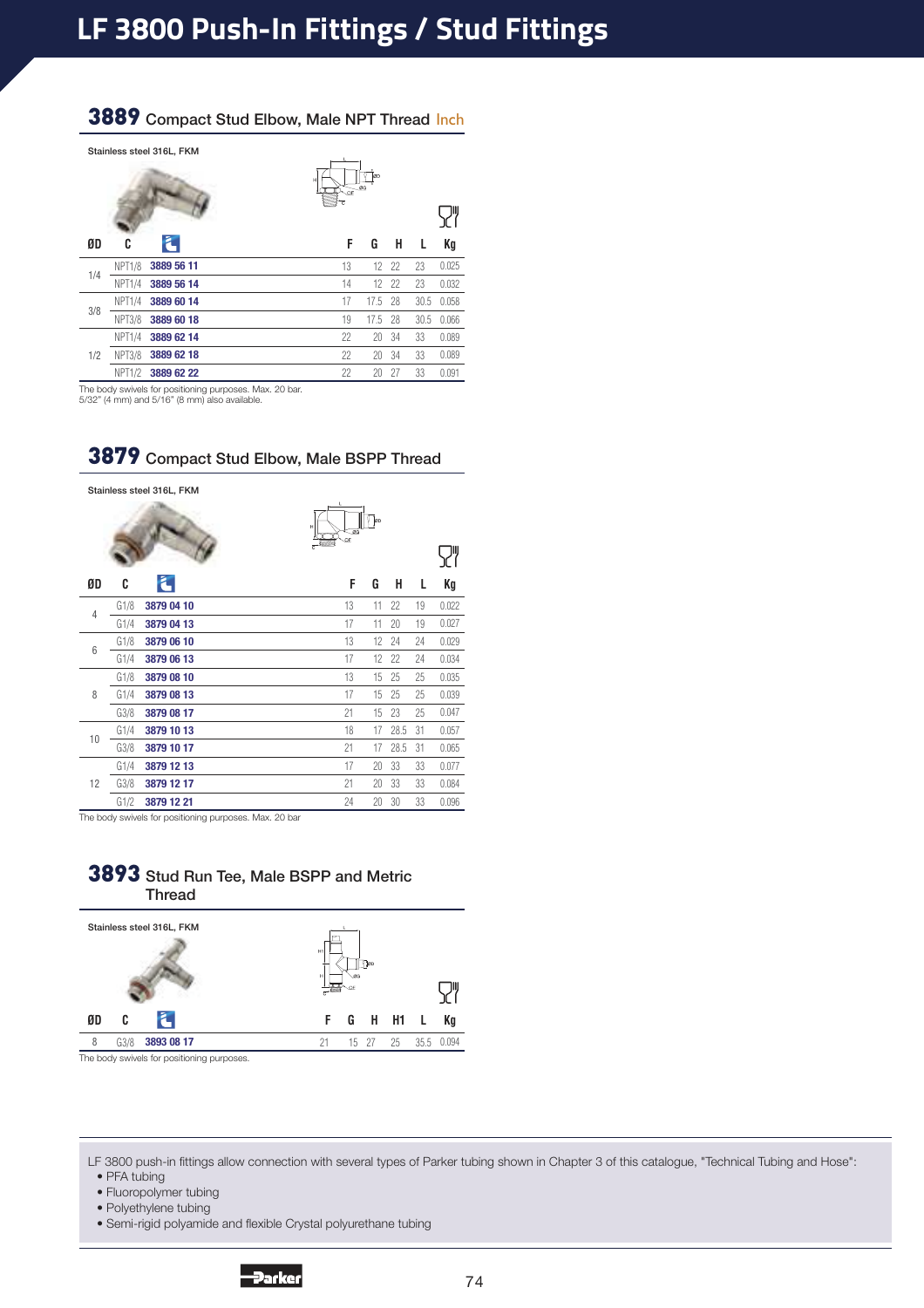## 3889 Compact Stud Elbow, Male NPT Thread Inch

|     |                    | Stainless steel 316L, FKM | OD<br>н<br>ØG<br>T.<br>No€ |      |       |
|-----|--------------------|---------------------------|----------------------------|------|-------|
| ØD  | C                  | Ł                         | F<br>н<br>G                | L    | Kg    |
| 1/4 | <b>NPT1/8</b>      | 3889 56 11                | 13<br>22<br>12             | 23   | 0.025 |
|     | <b>NPT1/4</b>      | 3889 56 14                | 14<br>12<br>22             | 23   | 0.032 |
|     | NPT <sub>1/4</sub> | 3889 60 14                | 17<br>28<br>17.5           | 30.5 | 0.058 |
| 3/8 | <b>NPT3/8</b>      | 3889 60 18                | 19<br>-28<br>17.5          | 30.5 | 0.066 |
|     | NPT1/4             | 3889 62 14                | 22<br>34<br>20             | 33   | 0.089 |
| 1/2 | <b>NPT3/8</b>      | 3889 62 18                | 22<br>34<br>20             | 33   | 0.089 |
|     | <b>NPT1/2</b>      | 3889 62 22                | 22<br>27<br>20             | 33   | 0.091 |

The body swivels for positioning purposes. Max. 20 bar.

5/32" (4 mm) and 5/16" (8 mm) also available.

|                |      | Stainless steel 316L, FKM | н<br>ÖF | lop<br>ØG |      |    |       |
|----------------|------|---------------------------|---------|-----------|------|----|-------|
| ØD             | C    | ã.                        | F       | G         | н    | L  | Kg    |
|                | G1/8 | 3879 04 10                | 13      | 11        | 22   | 19 | 0.022 |
| $\overline{4}$ | G1/4 | 3879 04 13                | 17      | 11        | 20   | 19 | 0.027 |
| 6              | G1/8 | 3879 06 10                | 13      | 12        | 24   | 24 | 0.029 |
|                | G1/4 | 3879 06 13                | 17      | 12        | 22   | 24 | 0.034 |
|                | G1/8 | 3879 08 10                | 13      | 15        | 25   | 25 | 0.035 |
| 8              | G1/4 | 3879 08 13                | 17      | 15        | 25   | 25 | 0.039 |
|                | G3/8 | 3879 08 17                | 21      | 15        | 23   | 25 | 0.047 |
| 10             | G1/4 | 3879 10 13                | 18      | 17        | 28.5 | 31 | 0.057 |
|                | G3/8 | 3879 10 17                | 21      | 17        | 28.5 | 31 | 0.065 |
|                | G1/4 | 3879 12 13                | 17      | 20        | 33   | 33 | 0.077 |
| 12             | G3/8 | 3879 12 17                | 21      | 20        | 33   | 33 | 0.084 |
|                | G1/2 | 3879 12 21                | 24      | 20        | 30   | 33 | 0.096 |

3879 Compact Stud Elbow, Male BSPP Thread

The body swivels for positioning purposes. Max. 20 bar

#### 3893 Stud Run Tee, Male BSPP and Metric Thread



The body swivels for positioning purposes.

LF 3800 push-in fittings allow connection with several types of Parker tubing shown in Chapter 3 of this catalogue, "Technical Tubing and Hose": • PFA tubing

• Fluoropolymer tubing

• Polyethylene tubing

• Semi-rigid polyamide and flexible Crystal polyurethane tubing

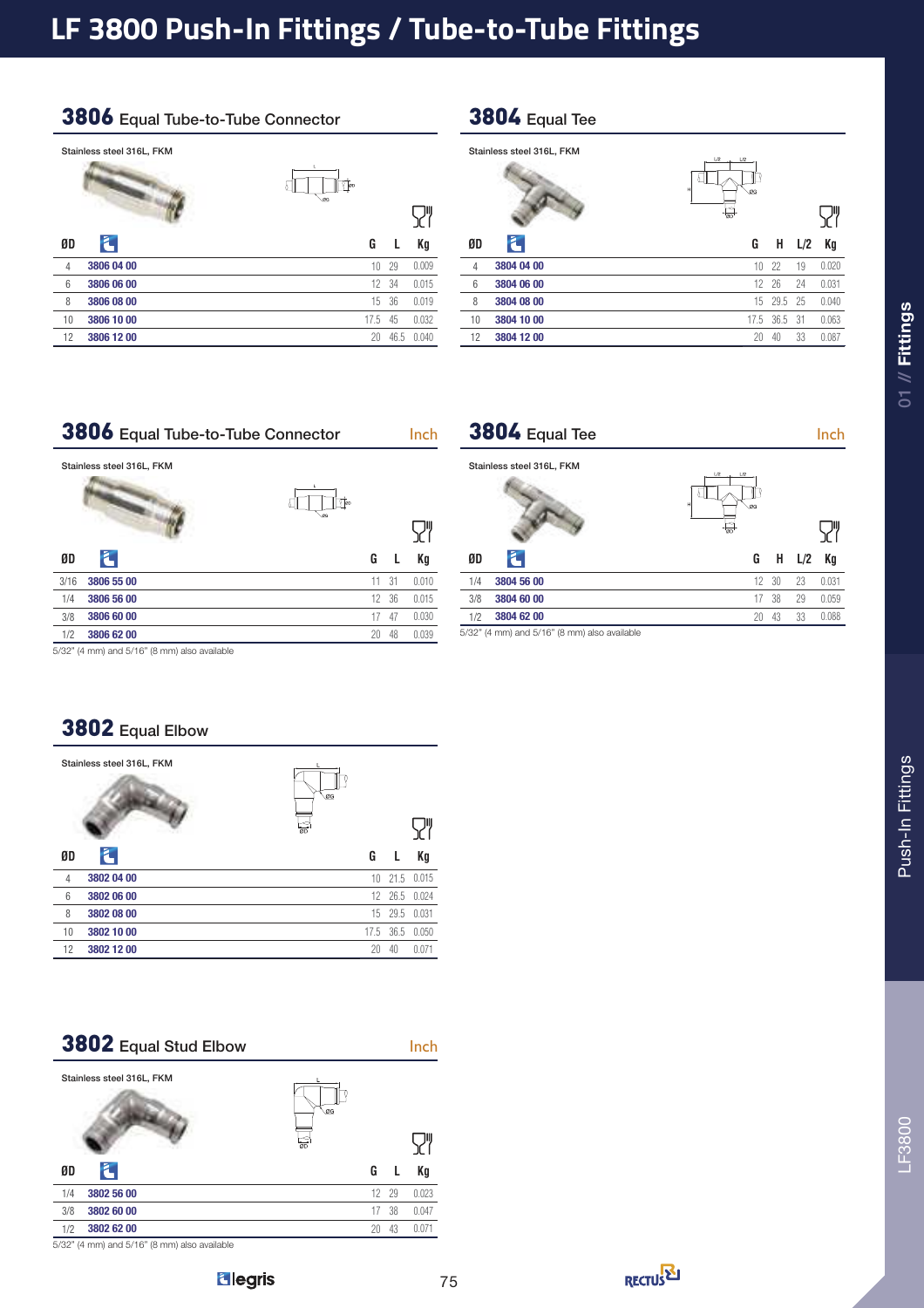## 3806 Equal Tube-to-Tube Connector

|    | Stainless steel 316L, FKM |                                                                   |      |       |
|----|---------------------------|-------------------------------------------------------------------|------|-------|
|    |                           | t.<br>$\mathbb{T}_{\scriptscriptstyle{\mathsf{OD}}}$<br><b>OG</b> |      |       |
|    |                           |                                                                   |      |       |
| ØD | E                         | G                                                                 | L    | Кg    |
| 4  | 3806 04 00                | 10                                                                | 29   | 0.009 |
| 6  | 3806 06 00                | 12                                                                | 34   | 0.015 |
| 8  | 3806 08 00                | 15                                                                | 36   | 0.019 |
| 10 | 3806 10 00                | 17.5                                                              | 45   | 0.032 |
| 12 | 3806 12 00                | 20                                                                | 46.5 | 0.040 |

## 3804 Equal Tee

|                | Stainless steel 316L, FKM | L/2<br>L/2<br>н<br>ØG<br>$\overline{\phantom{a}}$ |      |      |       |
|----------------|---------------------------|---------------------------------------------------|------|------|-------|
| ØD             | Г                         | G                                                 | н    | L/2  | Kg    |
| $\overline{4}$ | 3804 04 00                | 10                                                | 22   | 19   | 0.020 |
| 6              | 3804 06 00                | 12                                                | 26   | 24   | 0.031 |
| 8              | 3804 08 00                | 15                                                | 29.5 | 25   | 0.040 |
| 10             | 3804 10 00                | 17.5                                              | 36.5 | - 31 | 0.063 |
| 12             | 3804 12 00                | 20                                                | 40   | 33   | 0.087 |

## 3806 Equal Tube-to-Tube Connector Inch

| Stainless steel 316L, FKM<br>t.<br>Too<br>.os |       |
|-----------------------------------------------|-------|
|                                               |       |
| Ł<br>ØD<br>G<br>L                             | Кg    |
| 31<br>11<br>3/16<br>3806 55 00                | 0.010 |
| 3806 56 00<br>36<br>12<br>1/4                 | 0.015 |
| 3/8<br>3806 60 00<br>17<br>47                 | 0.030 |
| 48<br>20<br>1/2<br>3806 62 00                 | 0.039 |

| $3804$ Equal Tee          |                 | Inch |
|---------------------------|-----------------|------|
| Stainless steel 316L, FKM | U2<br>L/2<br>ØG |      |

| ØD  |                                              |              |       | $G$ H $L/2$    | Ka    |
|-----|----------------------------------------------|--------------|-------|----------------|-------|
| 1/4 | 3804 56 00                                   |              |       | $12 \t30 \t23$ | 0.031 |
| 3/8 | 3804 60 00                                   |              | 17 38 | 29             | 0.059 |
| 1/2 | 3804 62 00                                   | $20 \degree$ | 43    | 33             | 0.088 |
|     | 5/32" (4 mm) and 5/16" (8 mm) also available |              |       |                |       |

5/32" (4 mm) and 5/16" (8 mm) also available

## 3802 Equal Elbow

|                 | Stainless steel 316L, FKM | ØG<br>$\overline{60}$ |           |               |
|-----------------|---------------------------|-----------------------|-----------|---------------|
| ØD              | Ł                         | G                     | L         | Kg            |
| $\overline{4}$  | 3802 04 00                | 10                    |           | 21.5 0.015    |
| $6\phantom{1}6$ | 3802 06 00                |                       |           | 12 26.5 0.024 |
| 8               | 3802 08 00                |                       | 15 29.5   | 0.031         |
| 10              | 3802 10 00                |                       | 17.5 36.5 | 0.050         |
| 12              | 3802 12 00                | 20                    | 40        | 0.071         |
|                 |                           |                       |           |               |

3802 Equal Stud Elbow Inch Stainless steel 316L, FKM  $\overline{\mathsf{S}}$ **ØD G L Kg** 1/4 **3802 56 00** 12 29.0 0.023 **3/8 <b>3802 60 00** 17 38 0.047 1/2 **3802 62 00** 20 43.0 0.071

5/32" (4 mm) and 5/16" (8 mm) also available